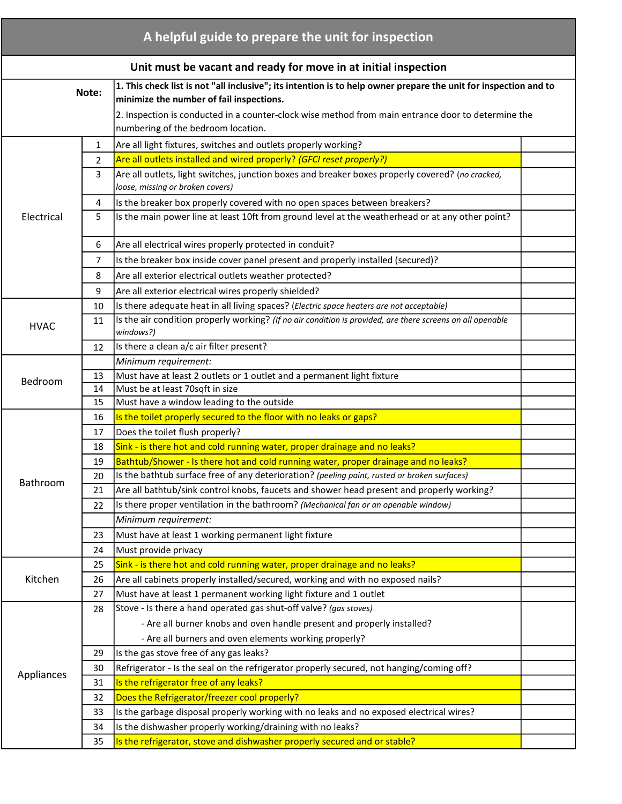| A helpful guide to prepare the unit for inspection              |                |                                                                                                                                                              |  |  |  |  |
|-----------------------------------------------------------------|----------------|--------------------------------------------------------------------------------------------------------------------------------------------------------------|--|--|--|--|
| Unit must be vacant and ready for move in at initial inspection |                |                                                                                                                                                              |  |  |  |  |
| Note:                                                           |                | 1. This check list is not "all inclusive"; its intention is to help owner prepare the unit for inspection and to<br>minimize the number of fail inspections. |  |  |  |  |
|                                                                 |                | 2. Inspection is conducted in a counter-clock wise method from main entrance door to determine the<br>numbering of the bedroom location.                     |  |  |  |  |
| Electrical                                                      | $\mathbf{1}$   | Are all light fixtures, switches and outlets properly working?                                                                                               |  |  |  |  |
|                                                                 | $\overline{2}$ | Are all outlets installed and wired properly? (GFCI reset properly?)                                                                                         |  |  |  |  |
|                                                                 | 3              | Are all outlets, light switches, junction boxes and breaker boxes properly covered? (no cracked,<br>loose, missing or broken covers)                         |  |  |  |  |
|                                                                 | 4              | Is the breaker box properly covered with no open spaces between breakers?                                                                                    |  |  |  |  |
|                                                                 | 5              | Is the main power line at least 10ft from ground level at the weatherhead or at any other point?                                                             |  |  |  |  |
|                                                                 | 6              | Are all electrical wires properly protected in conduit?                                                                                                      |  |  |  |  |
|                                                                 | 7              | Is the breaker box inside cover panel present and properly installed (secured)?                                                                              |  |  |  |  |
|                                                                 | 8              | Are all exterior electrical outlets weather protected?                                                                                                       |  |  |  |  |
|                                                                 | 9              | Are all exterior electrical wires properly shielded?                                                                                                         |  |  |  |  |
|                                                                 | 10             | Is there adequate heat in all living spaces? (Electric space heaters are not acceptable)                                                                     |  |  |  |  |
| <b>HVAC</b>                                                     | 11             | Is the air condition properly working? (If no air condition is provided, are there screens on all openable<br>windows?)                                      |  |  |  |  |
|                                                                 | 12             | Is there a clean a/c air filter present?                                                                                                                     |  |  |  |  |
|                                                                 |                | Minimum requirement:                                                                                                                                         |  |  |  |  |
| Bedroom                                                         | 13             | Must have at least 2 outlets or 1 outlet and a permanent light fixture                                                                                       |  |  |  |  |
|                                                                 | 14             | Must be at least 70sqft in size                                                                                                                              |  |  |  |  |
|                                                                 | 15             | Must have a window leading to the outside                                                                                                                    |  |  |  |  |
|                                                                 | 16             | Is the toilet properly secured to the floor with no leaks or gaps?                                                                                           |  |  |  |  |
|                                                                 | 17             | Does the toilet flush properly?                                                                                                                              |  |  |  |  |
|                                                                 | 18             | Sink - is there hot and cold running water, proper drainage and no leaks?                                                                                    |  |  |  |  |
|                                                                 | 19             | Bathtub/Shower - Is there hot and cold running water, proper drainage and no leaks?                                                                          |  |  |  |  |
| Bathroom                                                        | 20             | Is the bathtub surface free of any deterioration? (peeling paint, rusted or broken surfaces)                                                                 |  |  |  |  |
|                                                                 | 21             | Are all bathtub/sink control knobs, faucets and shower head present and properly working?                                                                    |  |  |  |  |
|                                                                 | 22             | Is there proper ventilation in the bathroom? (Mechanical fan or an openable window)                                                                          |  |  |  |  |
|                                                                 |                | Minimum requirement:                                                                                                                                         |  |  |  |  |
|                                                                 | 23             | Must have at least 1 working permanent light fixture                                                                                                         |  |  |  |  |
|                                                                 | 24             | Must provide privacy                                                                                                                                         |  |  |  |  |
|                                                                 | 25             | Sink - is there hot and cold running water, proper drainage and no leaks?                                                                                    |  |  |  |  |
| Kitchen                                                         | 26             | Are all cabinets properly installed/secured, working and with no exposed nails?                                                                              |  |  |  |  |
|                                                                 | 27             | Must have at least 1 permanent working light fixture and 1 outlet                                                                                            |  |  |  |  |
|                                                                 | 28             | Stove - Is there a hand operated gas shut-off valve? (gas stoves)                                                                                            |  |  |  |  |
| Appliances                                                      |                | - Are all burner knobs and oven handle present and properly installed?                                                                                       |  |  |  |  |
|                                                                 |                | - Are all burners and oven elements working properly?                                                                                                        |  |  |  |  |
|                                                                 | 29             | Is the gas stove free of any gas leaks?                                                                                                                      |  |  |  |  |
|                                                                 | 30             | Refrigerator - Is the seal on the refrigerator properly secured, not hanging/coming off?                                                                     |  |  |  |  |
|                                                                 | 31             | Is the refrigerator free of any leaks?                                                                                                                       |  |  |  |  |
|                                                                 | 32             | Does the Refrigerator/freezer cool properly?                                                                                                                 |  |  |  |  |
|                                                                 | 33             | Is the garbage disposal properly working with no leaks and no exposed electrical wires?                                                                      |  |  |  |  |
|                                                                 | 34             | Is the dishwasher properly working/draining with no leaks?<br>Is the refrigerator, stove and dishwasher properly secured and or stable?                      |  |  |  |  |
|                                                                 | 35             |                                                                                                                                                              |  |  |  |  |